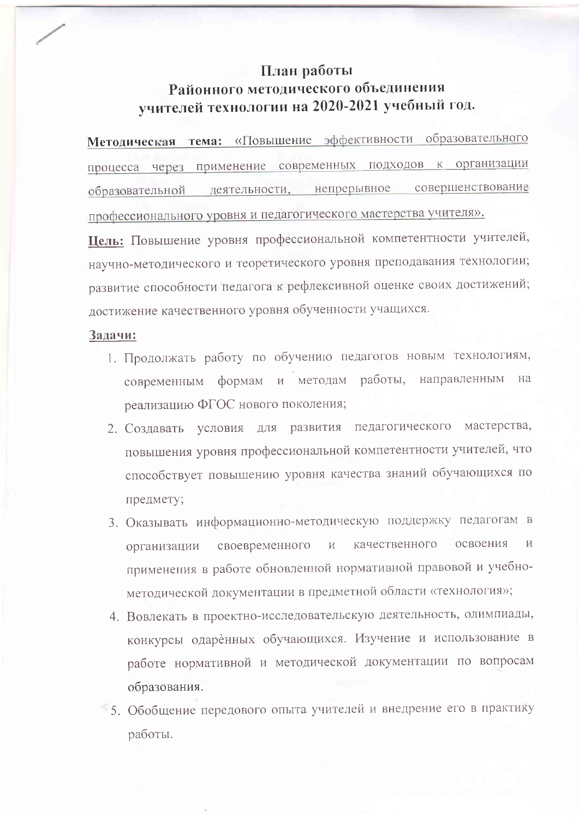## План работы Районного методического объединения учителей технологии на 2020-2021 учебный год.

Методическая тема: «Повышение эффективности образовательного процесса через применение современных подходов к организации совершенствование образовательной деятельности, непрерывное профессионального уровня и педагогического мастерства учителя».

Цель: Повышение уровня профессиональной компетентности учителей, научно-методического и теоретического уровня преподавания технологии; развитие способности педагога к рефлексивной оценке своих достижений; достижение качественного уровня обученности учащихся.

## Задачи:

- 1. Продолжать работу по обучению педагогов новым технологиям, современным формам и методам работы, направленным Ha реализацию ФГОС нового поколения;
- 2. Создавать условия для развития педагогического мастерства, повышения уровня профессиональной компетентности учителей, что способствует повышению уровня качества знаний обучающихся по предмету;
- 3. Оказывать информационно-методическую поддержку педагогам в качественного освоения своевременного  $\overline{M}$  $\overline{M}$ организации применения в работе обновленной нормативной правовой и учебнометодической документации в предметной области «технология»;
- 4. Вовлекать в проектно-исследовательскую деятельность, олимпиады, конкурсы одаренных обучающихся. Изучение и использование в работе нормативной и методической документации по вопросам образования.
- 5. Обобщение передового опыта учителей и внедрение его в практику работы.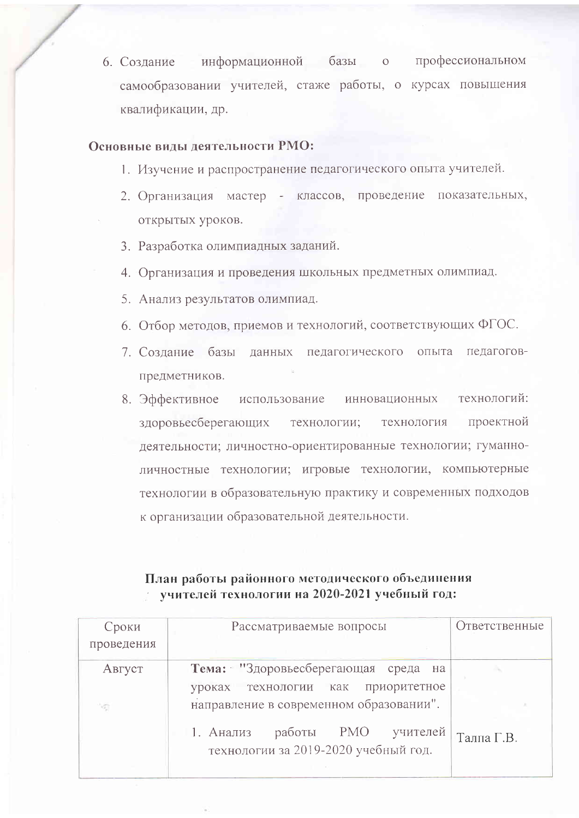информационной базы о профессиональном 6. Создание самообразовании учителей, стаже работы, о курсах повышения квалификации, др.

## Основные вилы леятельности РМО:

- 1. Изучение и распространение педагогического опыта учителей.
- 2. Организация мастер классов, проведение показательных, открытых уроков.
- 3. Разработка олимпиадных заданий.
- 4. Организация и проведения школьных предметных олимпиад.
- 5. Анализ результатов олимпиад.
- 6. Отбор методов, приемов и технологий, соответствующих ФГОС.
- 7. Создание базы данных педагогического опыта педагоговпредметников.
- использование инновационных технологий: 8. Эффективное технология проектной здоровьесберегающих технологии; деятельности; личностно-ориентированные технологии; гуманноличностные технологии; игровые технологии, компьютерные технологии в образовательную практику и современных подходов к организации образовательной деятельности.

## План работы районного методического объединения учителей технологии на 2020-2021 учебный год:

| Сроки      | Рассматриваемые вопросы                                                     | Ответственные |
|------------|-----------------------------------------------------------------------------|---------------|
| проведения |                                                                             |               |
| Август     | Тема: "Здоровьесберегающая среда на                                         |               |
|            | приоритетное<br>технологии как<br>уроках                                    |               |
| NB.        | направление в современном образовании".                                     |               |
|            | работы РМО<br>1. Анализ<br>учителей<br>технологии за 2019-2020 учебный год. | Талпа Г.В.    |
|            |                                                                             |               |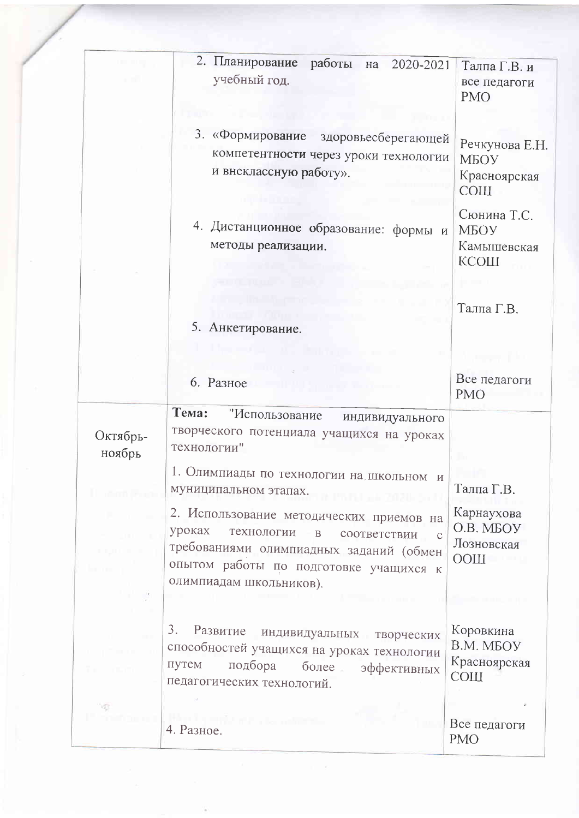|                    | 2. Планирование<br>работы на<br>2020-2021<br>учебный год.                                                                                                                                                                         | Талпа Г.В. и<br>все педагоги<br><b>PMO</b>                |
|--------------------|-----------------------------------------------------------------------------------------------------------------------------------------------------------------------------------------------------------------------------------|-----------------------------------------------------------|
|                    | 3. «Формирование<br>здоровьесберегающей<br>компетентности через уроки технологии<br>и внеклассную работу».                                                                                                                        | Речкунова Е.Н.<br>МБОУ<br>Красноярская<br><b>COIII</b>    |
|                    | 4. Дистанционное образование: формы и<br>методы реализации.                                                                                                                                                                       | Сюнина Т.С.<br>МБОУ<br>Камышевская<br>КСОШ                |
|                    | 5. Анкетирование.                                                                                                                                                                                                                 | Талпа Г.В.                                                |
|                    | 6. Разное                                                                                                                                                                                                                         | Все педагоги<br><b>PMO</b>                                |
| Октябрь-<br>ноябрь | Тема:<br>"Использование<br>индивидуального<br>творческого потенциала учащихся на уроках<br>технологии"                                                                                                                            |                                                           |
| Listen Bank        | 1. Олимпиады по технологии на школьном и<br>муниципальном этапах.                                                                                                                                                                 | Талпа Г.В.                                                |
| na mar ch          | 2. Использование методических приемов на<br>уроках<br>технологии<br>$\, {\bf B}$<br>соответствии<br>$\mathcal{C}$<br>требованиями олимпиадных заданий (обмен<br>опытом работы по подготовке учащихся к<br>олимпиадам школьников). | Карнаухова<br>O.B. MEOV<br>Лозновская<br>$\sim$ 11100     |
|                    | 3.<br>Развитие<br>индивидуальных творческих<br>способностей учащихся на уроках технологии<br>путем<br>подбора<br>более<br>эффективных<br>педагогических технологий.                                                               | Коровкина<br>B.M. MEOV<br>Красноярская<br>C <sub>OM</sub> |
| <sup>1</sup> d3    | Direct completed a large time<br>4. Разное.                                                                                                                                                                                       | Все педагоги<br><b>PMO</b>                                |

ä